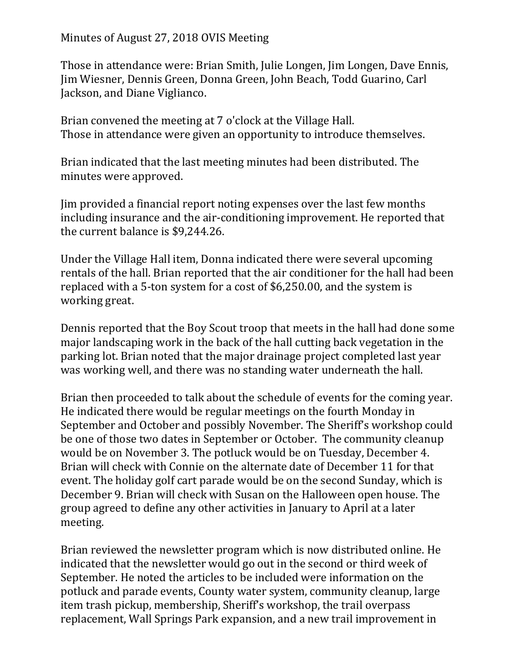Minutes of August 27, 2018 OVIS Meeting

Those in attendance were: Brian Smith, Julie Longen, Jim Longen, Dave Ennis, Jim Wiesner, Dennis Green, Donna Green, John Beach, Todd Guarino, Carl Jackson, and Diane Viglianco.

Brian convened the meeting at 7 o'clock at the Village Hall. Those in attendance were given an opportunity to introduce themselves.

Brian indicated that the last meeting minutes had been distributed. The minutes were approved.

Jim provided a financial report noting expenses over the last few months including insurance and the air-conditioning improvement. He reported that the current balance is \$9,244.26.

Under the Village Hall item, Donna indicated there were several upcoming rentals of the hall. Brian reported that the air conditioner for the hall had been replaced with a 5-ton system for a cost of \$6,250.00, and the system is working great.

Dennis reported that the Boy Scout troop that meets in the hall had done some major landscaping work in the back of the hall cutting back vegetation in the parking lot. Brian noted that the major drainage project completed last year was working well, and there was no standing water underneath the hall.

Brian then proceeded to talk about the schedule of events for the coming year. He indicated there would be regular meetings on the fourth Monday in September and October and possibly November. The Sheriff's workshop could be one of those two dates in September or October. The community cleanup would be on November 3. The potluck would be on Tuesday, December 4. Brian will check with Connie on the alternate date of December 11 for that event. The holiday golf cart parade would be on the second Sunday, which is December 9. Brian will check with Susan on the Halloween open house. The group agreed to define any other activities in January to April at a later meeting.

Brian reviewed the newsletter program which is now distributed online. He indicated that the newsletter would go out in the second or third week of September. He noted the articles to be included were information on the potluck and parade events, County water system, community cleanup, large item trash pickup, membership, Sheriff's workshop, the trail overpass replacement, Wall Springs Park expansion, and a new trail improvement in